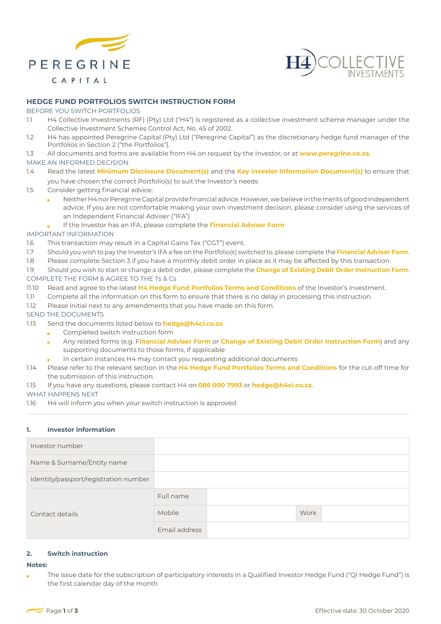



# **HEDGE FUND PORTFOLIOS SWITCH INSTRUCTION FORM**

#### BEFORE YOU SWITCH PORTFOLIOS

- 1.1 H4 Collective Investments (RF) (Pty) Ltd ("H4") is registered as a collective investment scheme manager under the Collective Investment Schemes Control Act, No. 45 of 2002.
- 1.2 H4 has appointed Peregrine Capital (Pty) Ltd ("Peregrine Capital") as the discretionary hedge fund manager of the Portfolios in Section 2 ("the Portfolios").
- 1.3 All documents and forms are available from H4 on request by the Investor, or at **www.peregrine.co.za.**

## MAKE AN INFORMED DECISION

- 1.4 Read the latest **Minimum Disclosure Document(s)** and the **Key Investor Information Document(s)** to ensure that you have chosen the correct Portfolio(s) to suit the Investor's needs.
- 1.5 Consider getting financial advice:
	- Neither H4 nor Peregrine Capital provide financial advice. However, we believe in the merits of good independent advice. If you are not comfortable making your own investment decision, please consider using the services of an Independent Financial Adviser ("IFA")
	- If the Investor has an IFA, please complete the **Financial Adviser Form**

## IMPORTANT INFORMATION

- 1.6 This transaction may result in a Capital Gains Tax ("CGT") event.
- 1.7 Should you wish to pay the Investor's IFA a fee on the Portfolio(s) switched to, please complete the **Financial Adviser Form**.
- 1.8 Please complete Section 3 if you have a monthly debit order in place as it may be affected by this transaction.
- 1.9 Should you wish to start or change a debit order, please complete the **Change of Existing Debit Order Instruction Form**. COMPLETE THE FORM & AGREE TO THE Ts & Cs
- 11.10 Read and agree to the latest **H4 Hedge Fund Portfolios Terms and Conditions** of the Investor's investment.
- 1.11 Complete all the information on this form to ensure that there is no delay in processing this instruction.
- 1.12 Please initial next to any amendments that you have made on this form.

## SEND THE DOCUMENTS

- 1.13 Send the documents listed below to **hedge@h4ci.co.za**
	- Completed switch instruction form  $\mathbf{r}$
	- Any related forms (e.g. F**inancial Adviser Form** or **Change of Existing Debit Order Instruction Form**) and any supporting documents to those forms, if applicable
	- In certain instances H4 may contact you requesting additional documents
- 1.14 Please refer to the relevant section in the **H4 Hedge Fund Portfolios Terms and Conditions** for the cut-off time for the submission of this instruction.
- 1.15 If you have any questions, please contact H4 on **086 000 7993** or **hedge@h4ci.co.za**.

#### WHAT HAPPENS NEXT

1.16 H4 will inform you when your switch instruction is approved.

# **1. Investor information**

| Investor number                       |               |      |
|---------------------------------------|---------------|------|
| Name & Surname/Entity name            |               |      |
| Identity/passport/registration number |               |      |
| Contact details                       | Full name     |      |
|                                       | Mobile        | Work |
|                                       | Email address |      |

### **2. Switch instruction**

#### **Notes:**

The issue date for the subscription of participatory interests in a Qualified Investor Hedge Fund ("QI Hedge Fund") is the first calendar day of the month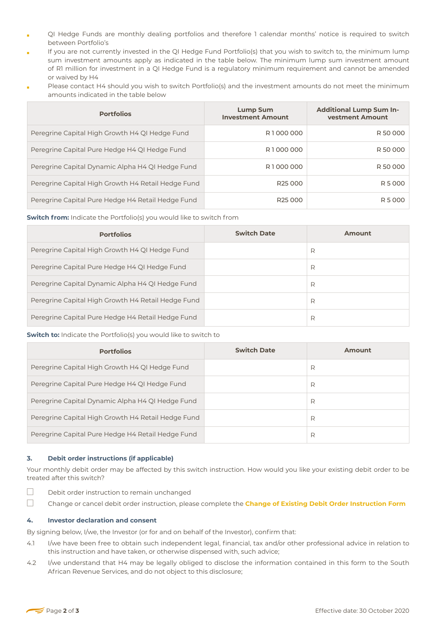- QI Hedge Funds are monthly dealing portfolios and therefore 1 calendar months' notice is required to switch between Portfolio's
- If you are not currently invested in the QI Hedge Fund Portfolio(s) that you wish to switch to, the minimum lump É sum investment amounts apply as indicated in the table below. The minimum lump sum investment amount of R1 million for investment in a QI Hedge Fund is a regulatory minimum requirement and cannot be amended or waived by H4
- Please contact H4 should you wish to switch Portfolio(s) and the investment amounts do not meet the minimum amounts indicated in the table below

| <b>Portfolios</b>                                  | <b>Lump Sum</b><br><b>Investment Amount</b> | <b>Additional Lump Sum In-</b><br>vestment Amount |
|----------------------------------------------------|---------------------------------------------|---------------------------------------------------|
| Peregrine Capital High Growth H4 QI Hedge Fund     | R1000000                                    | R 50 000                                          |
| Peregrine Capital Pure Hedge H4 QI Hedge Fund      | R1000000                                    | R 50 000                                          |
| Peregrine Capital Dynamic Alpha H4 QI Hedge Fund   | R1000000                                    | R 50 000                                          |
| Peregrine Capital High Growth H4 Retail Hedge Fund | R <sub>25</sub> 000                         | R 5 000                                           |
| Peregrine Capital Pure Hedge H4 Retail Hedge Fund  | R <sub>25</sub> 000                         | R 5 000                                           |

**Switch from:** Indicate the Portfolio(s) you would like to switch from

| <b>Portfolios</b>                                  | <b>Switch Date</b> | Amount |
|----------------------------------------------------|--------------------|--------|
| Peregrine Capital High Growth H4 QI Hedge Fund     |                    | R      |
| Peregrine Capital Pure Hedge H4 QI Hedge Fund      |                    | R      |
| Peregrine Capital Dynamic Alpha H4 QI Hedge Fund   |                    | R      |
| Peregrine Capital High Growth H4 Retail Hedge Fund |                    | R      |
| Peregrine Capital Pure Hedge H4 Retail Hedge Fund  |                    | R      |

|                                                                         | R      |  |  |
|-------------------------------------------------------------------------|--------|--|--|
|                                                                         | R      |  |  |
|                                                                         | R      |  |  |
|                                                                         | R      |  |  |
| <b>Switch to:</b> Indicate the Portfolio(s) you would like to switch to |        |  |  |
| <b>Switch Date</b>                                                      | Amount |  |  |
|                                                                         | R      |  |  |
|                                                                         | R      |  |  |
|                                                                         | R      |  |  |
|                                                                         | R      |  |  |
|                                                                         | R      |  |  |
|                                                                         |        |  |  |

# **3. Debit order instructions (if applicable)**

Your monthly debit order may be affected by this switch instruction. How would you like your existing debit order to be treated after this switch?

- $\Box$ Debit order instruction to remain unchanged
- $\Box$ Change or cancel debit order instruction, please complete the **Change of Existing Debit Order Instruction Form**

#### **4. Investor declaration and consent**

By signing below, I/we, the Investor (or for and on behalf of the Investor), confirm that:

- 4.1 I/we have been free to obtain such independent legal, financial, tax and/or other professional advice in relation to this instruction and have taken, or otherwise dispensed with, such advice;
- 4.2 I/we understand that H4 may be legally obliged to disclose the information contained in this form to the South African Revenue Services, and do not object to this disclosure;